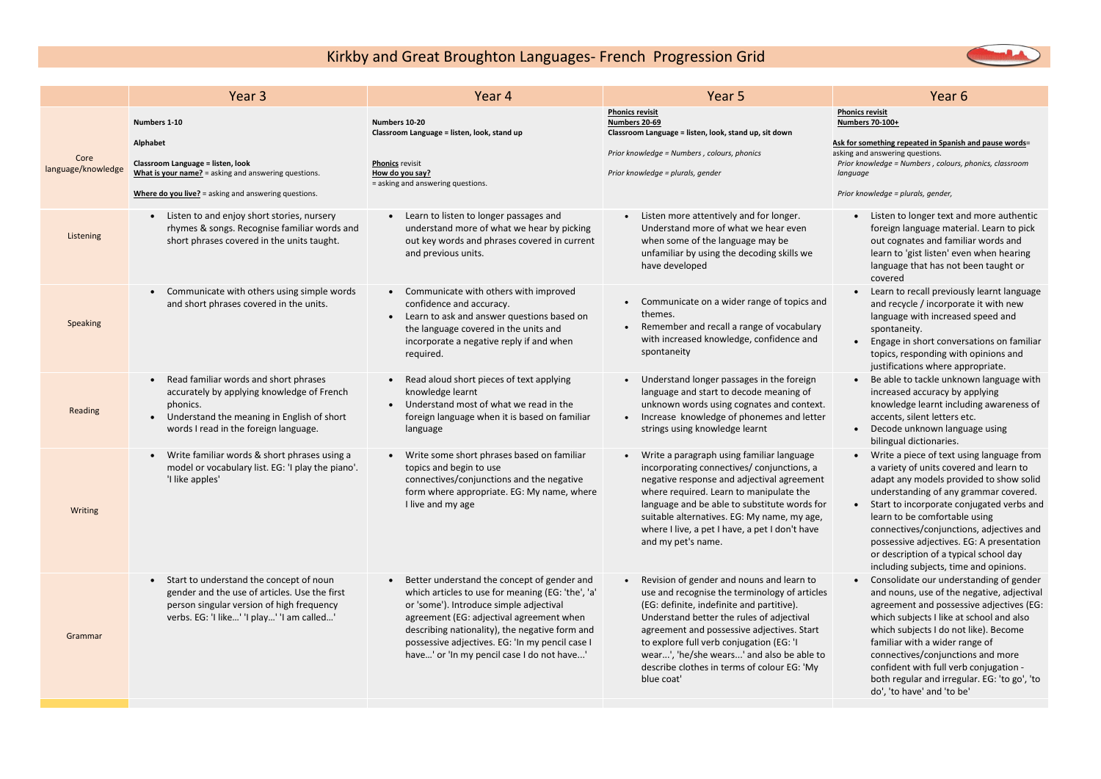## Kirkby and Great Broughton Languages- French Progression Grid

**Ask for something repeated in Spanish and pause words**= asking and answering questions.

*Prior knowledge = Numbers , colours, phonics, classroom language*

|                            | Year <sub>3</sub>                                                                                                                                                                                                | Year 4                                                                                                                                                                                                                                                                                                                                     | Year 5                                                                                                                                                                                                                                                                                                                                                                                   | Year <sub>6</sub>                                                                                                                                                                                                                                                              |
|----------------------------|------------------------------------------------------------------------------------------------------------------------------------------------------------------------------------------------------------------|--------------------------------------------------------------------------------------------------------------------------------------------------------------------------------------------------------------------------------------------------------------------------------------------------------------------------------------------|------------------------------------------------------------------------------------------------------------------------------------------------------------------------------------------------------------------------------------------------------------------------------------------------------------------------------------------------------------------------------------------|--------------------------------------------------------------------------------------------------------------------------------------------------------------------------------------------------------------------------------------------------------------------------------|
| Core<br>language/knowledge | Numbers 1-10<br>Alphabet<br>Classroom Language = listen, look<br>What is your name? = asking and answering questions.                                                                                            | Numbers 10-20<br>Classroom Language = listen, look, stand up<br><b>Phonics revisit</b><br>How do you say?<br>= asking and answering questions.                                                                                                                                                                                             | <b>Phonics revisit</b><br>Numbers 20-69<br>Classroom Language = listen, look, stand up, sit down<br>Prior knowledge = Numbers, colours, phonics<br>Prior knowledge = plurals, gender                                                                                                                                                                                                     | <b>Phonics revisit</b><br><b>Numbers 70-100+</b><br>Ask for something repeated in Spanish<br>asking and answering questions.<br>Prior knowledge = Numbers, colours, µ<br>language                                                                                              |
| Listening                  | Where do you live? = asking and answering questions.<br>Listen to and enjoy short stories, nursery<br>$\bullet$<br>rhymes & songs. Recognise familiar words and<br>short phrases covered in the units taught.    | Learn to listen to longer passages and<br>$\bullet$<br>understand more of what we hear by picking<br>out key words and phrases covered in current<br>and previous units.                                                                                                                                                                   | Listen more attentively and for longer.<br>$\bullet$<br>Understand more of what we hear even<br>when some of the language may be<br>unfamiliar by using the decoding skills we<br>have developed                                                                                                                                                                                         | Prior knowledge = plurals, gender,<br>• Listen to longer text an<br>foreign language mater<br>out cognates and famili<br>learn to 'gist listen' eve<br>language that has not b<br>covered                                                                                      |
| <b>Speaking</b>            | Communicate with others using simple words<br>and short phrases covered in the units.                                                                                                                            | Communicate with others with improved<br>$\bullet$<br>confidence and accuracy.<br>Learn to ask and answer questions based on<br>the language covered in the units and<br>incorporate a negative reply if and when<br>required.                                                                                                             | Communicate on a wider range of topics and<br>themes.<br>Remember and recall a range of vocabulary<br>with increased knowledge, confidence and<br>spontaneity                                                                                                                                                                                                                            | Learn to recall previous<br>and recycle / incorpora<br>language with increase<br>spontaneity.<br>Engage in short convers<br>topics, responding with<br>justifications where app                                                                                                |
| Reading                    | Read familiar words and short phrases<br>$\bullet$<br>accurately by applying knowledge of French<br>phonics.<br>Understand the meaning in English of short<br>$\bullet$<br>words I read in the foreign language. | Read aloud short pieces of text applying<br>$\bullet$<br>knowledge learnt<br>Understand most of what we read in the<br>foreign language when it is based on familiar<br>language                                                                                                                                                           | Understand longer passages in the foreign<br>language and start to decode meaning of<br>unknown words using cognates and context.<br>Increase knowledge of phonemes and letter<br>$\bullet$<br>strings using knowledge learnt                                                                                                                                                            | Be able to tackle unkno<br>increased accuracy by a<br>knowledge learnt inclue<br>accents, silent letters e<br>Decode unknown langu<br>bilingual dictionaries.                                                                                                                  |
| Writing                    | Write familiar words & short phrases using a<br>model or vocabulary list. EG: 'I play the piano'.<br>'I like apples'                                                                                             | Write some short phrases based on familiar<br>$\bullet$<br>topics and begin to use<br>connectives/conjunctions and the negative<br>form where appropriate. EG: My name, where<br>I live and my age                                                                                                                                         | Write a paragraph using familiar language<br>incorporating connectives/conjunctions, a<br>negative response and adjectival agreement<br>where required. Learn to manipulate the<br>language and be able to substitute words for<br>suitable alternatives. EG: My name, my age,<br>where I live, a pet I have, a pet I don't have<br>and my pet's name.                                   | Write a piece of text us<br>a variety of units cover<br>adapt any models provi<br>understanding of any g<br>Start to incorporate cor<br>learn to be comfortable<br>connectives/conjunctio<br>possessive adjectives. E<br>or description of a typic<br>including subjects, time |
| Grammar                    | Start to understand the concept of noun<br>$\bullet$<br>gender and the use of articles. Use the first<br>person singular version of high frequency<br>verbs. EG: 'I like' 'I play' 'I am called'                 | Better understand the concept of gender and<br>which articles to use for meaning (EG: 'the', 'a'<br>or 'some'). Introduce simple adjectival<br>agreement (EG: adjectival agreement when<br>describing nationality), the negative form and<br>possessive adjectives. EG: 'In my pencil case I<br>have' or 'In my pencil case I do not have' | Revision of gender and nouns and learn to<br>use and recognise the terminology of articles<br>(EG: definite, indefinite and partitive).<br>Understand better the rules of adjectival<br>agreement and possessive adjectives. Start<br>to explore full verb conjugation (EG: 'I<br>wear', 'he/she wears' and also be able to<br>describe clothes in terms of colour EG: 'My<br>blue coat' | Consolidate our unders<br>and nouns, use of the n<br>agreement and possess<br>which subjects I like at<br>which subjects I do not<br>familiar with a wider ra<br>connectives/conjunctio<br>confident with full verb<br>both regular and irregu<br>do', 'to have' and 'to be    |



- Listen to longer text and more authentic foreign language material. Learn to pick out cognates and familiar words and learn to 'gist listen' even when hearing language that has not been taught or covered
- Learn to recall previously learnt language and recycle / incorporate it with new language with increased speed and spontaneity.
- Engage in short conversations on familiar topics, responding with opinions and justifications where appropriate.
- Be able to tackle unknown language with increased accuracy by applying knowledge learnt including awareness of accents, silent letters etc.
- Decode unknown language using bilingual dictionaries.
- Write a piece of text using language from a variety of units covered and learn to adapt any models provided to show solid understanding of any grammar covered.
- Start to incorporate conjugated verbs and learn to be comfortable using connectives/conjunctions, adjectives and possessive adjectives. EG: A presentation or description of a typical school day including subjects, time and opinions.
- Consolidate our understanding of gender and nouns, use of the negative, adjectival agreement and possessive adjectives (EG: which subjects I like at school and also which subjects I do not like). Become familiar with a wider range of connectives/conjunctions and more confident with full verb conjugation ‐ both regular and irregular. EG: 'to go', 'to do', 'to have' and 'to be'